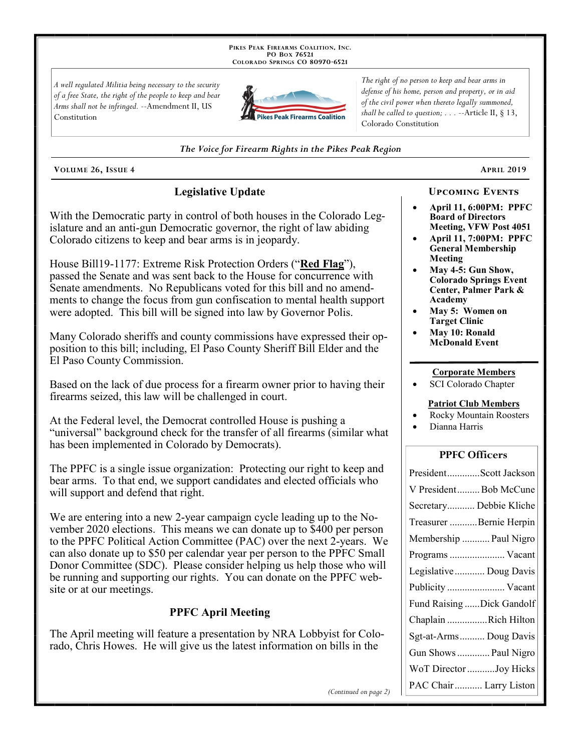PIKES PEAK FIREARMS COALITION, INC. PO Box 76521 COLORADO SPRINGS CO 80970-6521

A well regulated Militia being necessary to the security of a free State, the right of the people to keep and bear Arms shall not be infringed. --Amendment II, US Constitution



The right of no person to keep and bear arms in defense of his home, person and property, or in aid of the civil power when thereto legally summoned, shall be called to question;  $\ldots$  --Article II, § 13, Colorado Constitution

#### The Voice for Firearm Rights in the Pikes Peak Region

VOLUME 26, ISSUE 4

# **Legislative Update**

With the Democratic party in control of both houses in the Colorado Legislature and an anti-gun Democratic governor, the right of law abiding Colorado citizens to keep and bear arms is in jeopardy.

House Bill19-1177: Extreme Risk Protection Orders ("Red Flag"), passed the Senate and was sent back to the House for concurrence with Senate amendments. No Republicans voted for this bill and no amendments to change the focus from gun confiscation to mental health support were adopted. This bill will be signed into law by Governor Polis.

Many Colorado sheriffs and county commissions have expressed their opposition to this bill; including, El Paso County Sheriff Bill Elder and the El Paso County Commission.

Based on the lack of due process for a firearm owner prior to having their firearms seized, this law will be challenged in court.

At the Federal level, the Democrat controlled House is pushing a "universal" background check for the transfer of all firearms (similar what has been implemented in Colorado by Democrats).

The PPFC is a single issue organization: Protecting our right to keep and bear arms. To that end, we support candidates and elected officials who will support and defend that right.

We are entering into a new 2-year campaign cycle leading up to the November 2020 elections. This means we can donate up to \$400 per person to the PPFC Political Action Committee (PAC) over the next 2-years. We can also donate up to \$50 per calendar year per person to the PPFC Small Donor Committee (SDC). Please consider helping us help those who will be running and supporting our rights. You can donate on the PPFC website or at our meetings.

# **PPFC April Meeting**

The April meeting will feature a presentation by NRA Lobbyist for Colorado, Chris Howes. He will give us the latest information on bills in the

# **UPCOMING EVENTS**

**APRIL 2019** 

- April 11, 6:00PM: PPFC **Board of Directors Meeting, VFW Post 4051**
- **April 11, 7:00PM: PPFC General Membership** Meeting
- May 4-5: Gun Show, **Colorado Springs Event** Center, Palmer Park & Academy
- May 5: Women on **Target Clinic**
- May 10: Ronald **McDonald Event**

#### **Corporate Members**

SCI Colorado Chapter

#### **Patriot Club Members**

- **Rocky Mountain Roosters**
- Dianna Harris

### **PPFC Officers**

| PresidentScott Jackson    |
|---------------------------|
| V PresidentBob McCune     |
| Secretary Debbie Kliche   |
| Treasurer Bernie Herpin   |
| Membership  Paul Nigro    |
| Programs  Vacant          |
| Legislative  Doug Davis   |
|                           |
| Publicity  Vacant         |
| Fund Raising Dick Gandolf |
| Chaplain Rich Hilton      |
| Sgt-at-Arms  Doug Davis   |
| Gun Shows  Paul Nigro     |
| WoT Director Joy Hicks    |